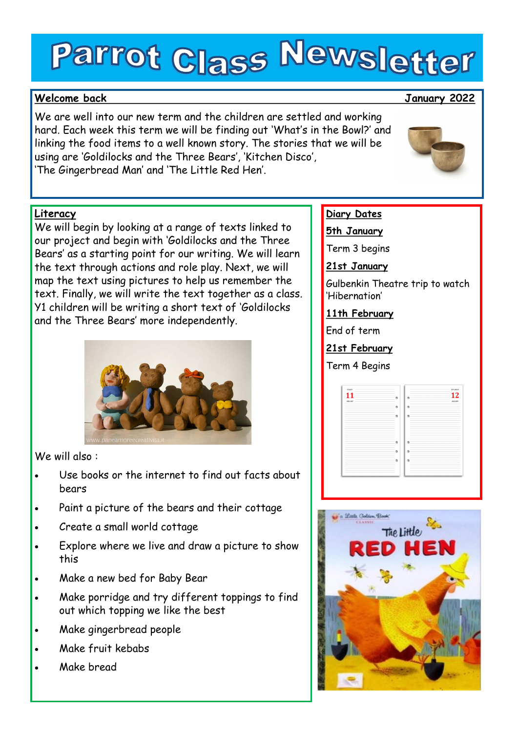# Parrot Class Newsletter

# **Welcome back January 2022**

We are well into our new term and the children are settled and working hard. Each week this term we will be finding out 'What's in the Bowl?' and linking the food items to a well known story. The stories that we will be using are 'Goldilocks and the Three Bears', 'Kitchen Disco', 'The Gingerbread Man' and 'The Little Red Hen'.

# **Literacy**

We will begin by looking at a range of texts linked to our project and begin with 'Goldilocks and the Three Bears' as a starting point for our writing. We will learn the text through actions and role play. Next, we will map the text using pictures to help us remember the text. Finally, we will write the text together as a class. Y1 children will be writing a short text of 'Goldilocks and the Three Bears' more independently.



We will also :

- Use books or the internet to find out facts about bears
- Paint a picture of the bears and their cottage
- Create a small world cottage
- Explore where we live and draw a picture to show this
- Make a new bed for Baby Bear
- Make porridge and try different toppings to find out which topping we like the best
- Make gingerbread people
- Make fruit kebabs
- Make bread

# **Diary Dates**

**5th January**

Term 3 begins

**21st January**

Gulbenkin Theatre trip to watch 'Hibernation'

**11th February**

End of term

**21st February**

Term 4 Begins

|                                                                                                                                                                                                                                                                                                                                                                                                                                                                                                          |                           |        | 12            |
|----------------------------------------------------------------------------------------------------------------------------------------------------------------------------------------------------------------------------------------------------------------------------------------------------------------------------------------------------------------------------------------------------------------------------------------------------------------------------------------------------------|---------------------------|--------|---------------|
| MNUARY -                                                                                                                                                                                                                                                                                                                                                                                                                                                                                                 | ۰                         |        | <b>MNUARY</b> |
| $\frac{1}{2} \left( \frac{1}{2} \right) \left( \frac{1}{2} \right) \left( \frac{1}{2} \right) \left( \frac{1}{2} \right) \left( \frac{1}{2} \right) \left( \frac{1}{2} \right) \left( \frac{1}{2} \right) \left( \frac{1}{2} \right) \left( \frac{1}{2} \right) \left( \frac{1}{2} \right) \left( \frac{1}{2} \right) \left( \frac{1}{2} \right) \left( \frac{1}{2} \right) \left( \frac{1}{2} \right) \left( \frac{1}{2} \right) \left( \frac{1}{2} \right) \left( \frac$<br>-<br>$\sim$<br>۰<br>-<br>- | $\triangle$               | $\sim$ |               |
|                                                                                                                                                                                                                                                                                                                                                                                                                                                                                                          | $\ddot{\phantom{a}}$      |        |               |
| $\sim$<br>$\sim$<br>-                                                                                                                                                                                                                                                                                                                                                                                                                                                                                    |                           |        |               |
| $\sim$<br>$\overline{\phantom{a}}$<br>$\sim$<br>$\overline{\phantom{a}}$<br>$\overline{\phantom{a}}$                                                                                                                                                                                                                                                                                                                                                                                                     |                           |        |               |
| $\sim$<br>$\sim$<br>$\sim$<br>$\overline{\phantom{a}}$                                                                                                                                                                                                                                                                                                                                                                                                                                                   | $\ddot{\phantom{a}}$<br>- |        |               |
| -<br>$\overline{\phantom{a}}$<br>٠<br>$\overline{\phantom{a}}$                                                                                                                                                                                                                                                                                                                                                                                                                                           | $\circ$                   |        |               |
| $\sim$                                                                                                                                                                                                                                                                                                                                                                                                                                                                                                   |                           |        |               |
| $\sim$<br>÷<br>$\overline{\phantom{a}}$                                                                                                                                                                                                                                                                                                                                                                                                                                                                  |                           |        |               |
| $\sim$                                                                                                                                                                                                                                                                                                                                                                                                                                                                                                   |                           |        |               |
|                                                                                                                                                                                                                                                                                                                                                                                                                                                                                                          |                           |        |               |